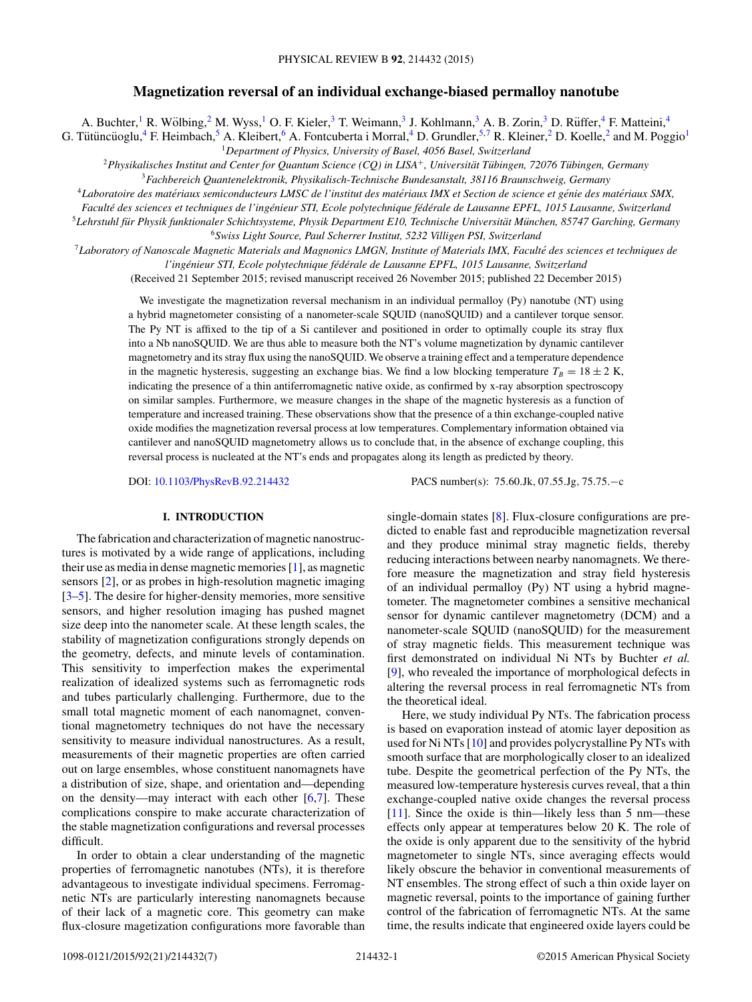# **Magnetization reversal of an individual exchange-biased permalloy nanotube**

A. Buchter,<sup>1</sup> R. Wölbing,<sup>2</sup> M. Wyss,<sup>1</sup> O. F. Kieler,<sup>3</sup> T. Weimann,<sup>3</sup> J. Kohlmann,<sup>3</sup> A. B. Zorin,<sup>3</sup> D. Rüffer,<sup>4</sup> F. Matteini,<sup>4</sup>

G. Tütüncüoglu,  ${}^4$  F. Heimbach,  ${}^5$  A. Kleibert,  ${}^6$  A. Fontcuberta i Morral,  ${}^4$  D. Grundler,  ${}^{5,7}$  R. Kleiner,  ${}^2$  D. Koelle,  ${}^2$  and M. Poggio<sup>1</sup>

<sup>1</sup>*Department of Physics, University of Basel, 4056 Basel, Switzerland*

<sup>2</sup>*Physikalisches Institut and Center for Quantum Science (CQ) in LISA*+*, Universitat T ¨ ubingen, 72076 T ¨ ubingen, Germany ¨* <sup>3</sup>*Fachbereich Quantenelektronik, Physikalisch-Technische Bundesanstalt, 38116 Braunschweig, Germany*

<sup>4</sup>*Laboratoire des materiaux semiconducteurs LMSC de l'institut des mat ´ eriaux IMX et Section de science et g ´ enie des mat ´ eriaux SMX, ´*

*Faculte des sciences et techniques de l'ing ´ enieur STI, Ecole polytechnique f ´ ed´ erale de Lausanne EPFL, 1015 Lausanne, Switzerland ´*

<sup>5</sup>Lehrstuhl für Physik funktionaler Schichtsysteme, Physik Department E10, Technische Universität München, 85747 Garching, Germany <sup>6</sup>*Swiss Light Source, Paul Scherrer Institut, 5232 Villigen PSI, Switzerland*

<sup>7</sup>*Laboratory of Nanoscale Magnetic Materials and Magnonics LMGN, Institute of Materials IMX, Faculte des sciences et techniques de ´*

*l'ingenieur STI, Ecole polytechnique f ´ ed´ erale de Lausanne EPFL, 1015 Lausanne, Switzerland ´*

(Received 21 September 2015; revised manuscript received 26 November 2015; published 22 December 2015)

We investigate the magnetization reversal mechanism in an individual permalloy (Py) nanotube (NT) using a hybrid magnetometer consisting of a nanometer-scale SQUID (nanoSQUID) and a cantilever torque sensor. The Py NT is affixed to the tip of a Si cantilever and positioned in order to optimally couple its stray flux into a Nb nanoSQUID. We are thus able to measure both the NT's volume magnetization by dynamic cantilever magnetometry and its stray flux using the nanoSQUID. We observe a training effect and a temperature dependence in the magnetic hysteresis, suggesting an exchange bias. We find a low blocking temperature  $T_B = 18 \pm 2$  K, indicating the presence of a thin antiferromagnetic native oxide, as confirmed by x-ray absorption spectroscopy on similar samples. Furthermore, we measure changes in the shape of the magnetic hysteresis as a function of temperature and increased training. These observations show that the presence of a thin exchange-coupled native oxide modifies the magnetization reversal process at low temperatures. Complementary information obtained via cantilever and nanoSQUID magnetometry allows us to conclude that, in the absence of exchange coupling, this reversal process is nucleated at the NT's ends and propagates along its length as predicted by theory.

### **I. INTRODUCTION**

The fabrication and characterization of magnetic nanostructures is motivated by a wide range of applications, including their use as media in dense magnetic memories [\[1\]](#page-6-0), as magnetic sensors [\[2\]](#page-6-0), or as probes in high-resolution magnetic imaging [\[3–5\]](#page-6-0). The desire for higher-density memories, more sensitive sensors, and higher resolution imaging has pushed magnet size deep into the nanometer scale. At these length scales, the stability of magnetization configurations strongly depends on the geometry, defects, and minute levels of contamination. This sensitivity to imperfection makes the experimental realization of idealized systems such as ferromagnetic rods and tubes particularly challenging. Furthermore, due to the small total magnetic moment of each nanomagnet, conventional magnetometry techniques do not have the necessary sensitivity to measure individual nanostructures. As a result, measurements of their magnetic properties are often carried out on large ensembles, whose constituent nanomagnets have a distribution of size, shape, and orientation and—depending on the density—may interact with each other  $[6,7]$ . These complications conspire to make accurate characterization of the stable magnetization configurations and reversal processes difficult.

In order to obtain a clear understanding of the magnetic properties of ferromagnetic nanotubes (NTs), it is therefore advantageous to investigate individual specimens. Ferromagnetic NTs are particularly interesting nanomagnets because of their lack of a magnetic core. This geometry can make flux-closure magetization configurations more favorable than

DOI: [10.1103/PhysRevB.92.214432](http://dx.doi.org/10.1103/PhysRevB.92.214432) PACS number(s): 75*.*60*.*Jk*,* 07*.*55*.*Jg*,* 75*.*75*.*−c

single-domain states [\[8\]](#page-6-0). Flux-closure configurations are predicted to enable fast and reproducible magnetization reversal and they produce minimal stray magnetic fields, thereby reducing interactions between nearby nanomagnets. We therefore measure the magnetization and stray field hysteresis of an individual permalloy (Py) NT using a hybrid magnetometer. The magnetometer combines a sensitive mechanical sensor for dynamic cantilever magnetometry (DCM) and a nanometer-scale SQUID (nanoSQUID) for the measurement of stray magnetic fields. This measurement technique was first demonstrated on individual Ni NTs by Buchter *et al.* [\[9\]](#page-6-0), who revealed the importance of morphological defects in altering the reversal process in real ferromagnetic NTs from the theoretical ideal.

Here, we study individual Py NTs. The fabrication process is based on evaporation instead of atomic layer deposition as used for Ni NTs [\[10\]](#page-6-0) and provides polycrystalline Py NTs with smooth surface that are morphologically closer to an idealized tube. Despite the geometrical perfection of the Py NTs, the measured low-temperature hysteresis curves reveal, that a thin exchange-coupled native oxide changes the reversal process [\[11\]](#page-6-0). Since the oxide is thin—likely less than 5 nm—these effects only appear at temperatures below 20 K. The role of the oxide is only apparent due to the sensitivity of the hybrid magnetometer to single NTs, since averaging effects would likely obscure the behavior in conventional measurements of NT ensembles. The strong effect of such a thin oxide layer on magnetic reversal, points to the importance of gaining further control of the fabrication of ferromagnetic NTs. At the same time, the results indicate that engineered oxide layers could be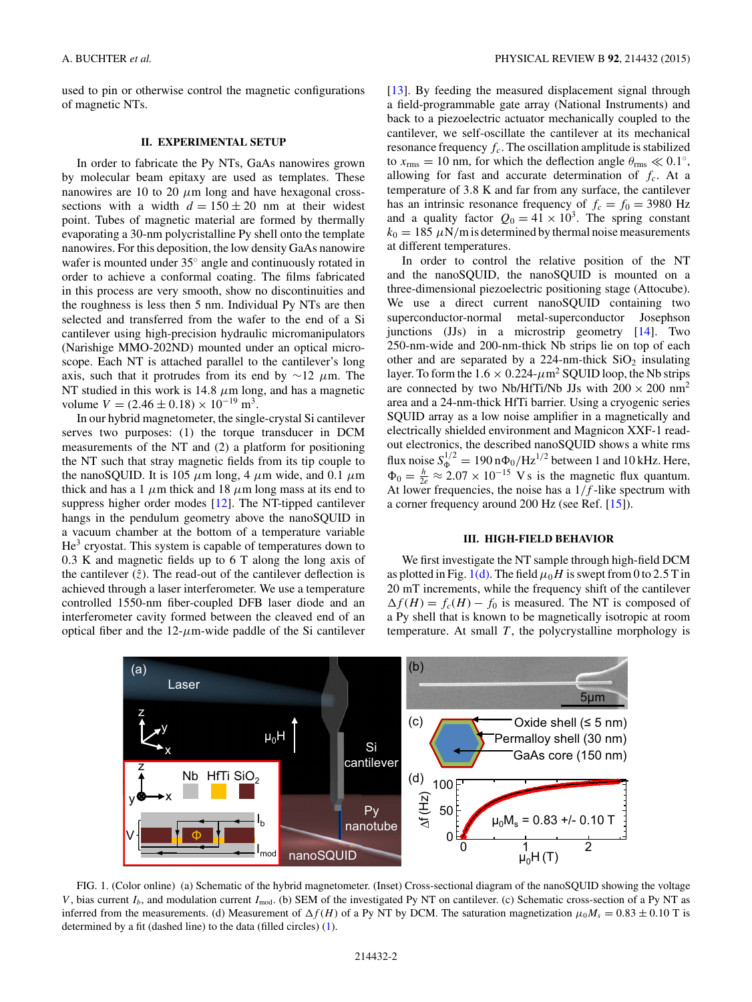<span id="page-1-0"></span>used to pin or otherwise control the magnetic configurations of magnetic NTs.

#### **II. EXPERIMENTAL SETUP**

In order to fabricate the Py NTs, GaAs nanowires grown by molecular beam epitaxy are used as templates. These nanowires are 10 to 20  $\mu$ m long and have hexagonal crosssections with a width  $d = 150 \pm 20$  nm at their widest point. Tubes of magnetic material are formed by thermally evaporating a 30-nm polycristalline Py shell onto the template nanowires. For this deposition, the low density GaAs nanowire wafer is mounted under 35◦ angle and continuously rotated in order to achieve a conformal coating. The films fabricated in this process are very smooth, show no discontinuities and the roughness is less then 5 nm. Individual Py NTs are then selected and transferred from the wafer to the end of a Si cantilever using high-precision hydraulic micromanipulators (Narishige MMO-202ND) mounted under an optical microscope. Each NT is attached parallel to the cantilever's long axis, such that it protrudes from its end by ∼12 *μ*m. The NT studied in this work is 14*.*8 *μ*m long, and has a magnetic volume  $V = (2.46 \pm 0.18) \times 10^{-19}$  m<sup>3</sup>.

In our hybrid magnetometer, the single-crystal Si cantilever serves two purposes: (1) the torque transducer in DCM measurements of the NT and (2) a platform for positioning the NT such that stray magnetic fields from its tip couple to the nanoSQUID. It is 105  $\mu$ m long, 4  $\mu$ m wide, and 0.1  $\mu$ m thick and has a 1  $\mu$ m thick and 18  $\mu$ m long mass at its end to suppress higher order modes [\[12\]](#page-6-0). The NT-tipped cantilever hangs in the pendulum geometry above the nanoSQUID in a vacuum chamber at the bottom of a temperature variable  $He<sup>3</sup>$  cryostat. This system is capable of temperatures down to 0*.*3 K and magnetic fields up to 6 T along the long axis of the cantilever  $(\hat{z})$ . The read-out of the cantilever deflection is achieved through a laser interferometer. We use a temperature controlled 1550-nm fiber-coupled DFB laser diode and an interferometer cavity formed between the cleaved end of an optical fiber and the  $12$ - $\mu$ m-wide paddle of the Si cantilever [\[13\]](#page-6-0). By feeding the measured displacement signal through a field-programmable gate array (National Instruments) and back to a piezoelectric actuator mechanically coupled to the cantilever, we self-oscillate the cantilever at its mechanical resonance frequency  $f_c$ . The oscillation amplitude is stabilized to  $x_{\text{rms}} = 10$  nm, for which the deflection angle  $\theta_{\text{rms}} \ll 0.1^\circ$ , allowing for fast and accurate determination of  $f_c$ . At a temperature of 3*.*8 K and far from any surface, the cantilever has an intrinsic resonance frequency of  $f_c = f_0 = 3980$  Hz and a quality factor  $Q_0 = 41 \times 10^3$ . The spring constant  $k_0 = 185 \mu N/m$  is determined by thermal noise measurements at different temperatures.

In order to control the relative position of the NT and the nanoSQUID, the nanoSQUID is mounted on a three-dimensional piezoelectric positioning stage (Attocube). We use a direct current nanoSQUID containing two superconductor-normal metal-superconductor Josephson junctions (JJs) in a microstrip geometry [\[14\]](#page-6-0). Two 250-nm-wide and 200-nm-thick Nb strips lie on top of each other and are separated by a 224-nm-thick  $SiO<sub>2</sub>$  insulating layer. To form the  $1.6 \times 0.224$ - $\mu$ m<sup>2</sup> SQUID loop, the Nb strips are connected by two Nb/HfTi/Nb JJs with  $200 \times 200$  nm<sup>2</sup> area and a 24-nm-thick HfTi barrier. Using a cryogenic series SQUID array as a low noise amplifier in a magnetically and electrically shielded environment and Magnicon XXF-1 readout electronics, the described nanoSQUID shows a white rms flux noise  $S_{\Phi}^{1/2} = 190 \text{ n}\Phi_0/\text{Hz}^{1/2}$  between 1 and 10 kHz. Here,  $\Phi_0 = \frac{h}{2e} \approx 2.07 \times 10^{-15}$  V s is the magnetic flux quantum. At lower frequencies, the noise has a  $1/f$ -like spectrum with a corner frequency around 200 Hz (see Ref. [\[15\]](#page-6-0)).

## **III. HIGH-FIELD BEHAVIOR**

We first investigate the NT sample through high-field DCM as plotted in Fig. 1(d). The field  $\mu_0 H$  is swept from 0 to 2.5 T in 20 mT increments, while the frequency shift of the cantilever  $\Delta f(H) = f_c(H) - f_0$  is measured. The NT is composed of a Py shell that is known to be magnetically isotropic at room temperature. At small  $T$ , the polycrystalline morphology is



FIG. 1. (Color online) (a) Schematic of the hybrid magnetometer. (Inset) Cross-sectional diagram of the nanoSQUID showing the voltage *V*, bias current  $I_b$ , and modulation current  $I_{\text{mod}}$ . (b) SEM of the investigated Py NT on cantilever. (c) Schematic cross-section of a Py NT as inferred from the measurements. (d) Measurement of  $\Delta f(H)$  of a Py NT by DCM. The saturation magnetization  $\mu_0 M_s = 0.83 \pm 0.10$  T is determined by a fit (dashed line) to the data (filled circles) [\(1\)](#page-2-0).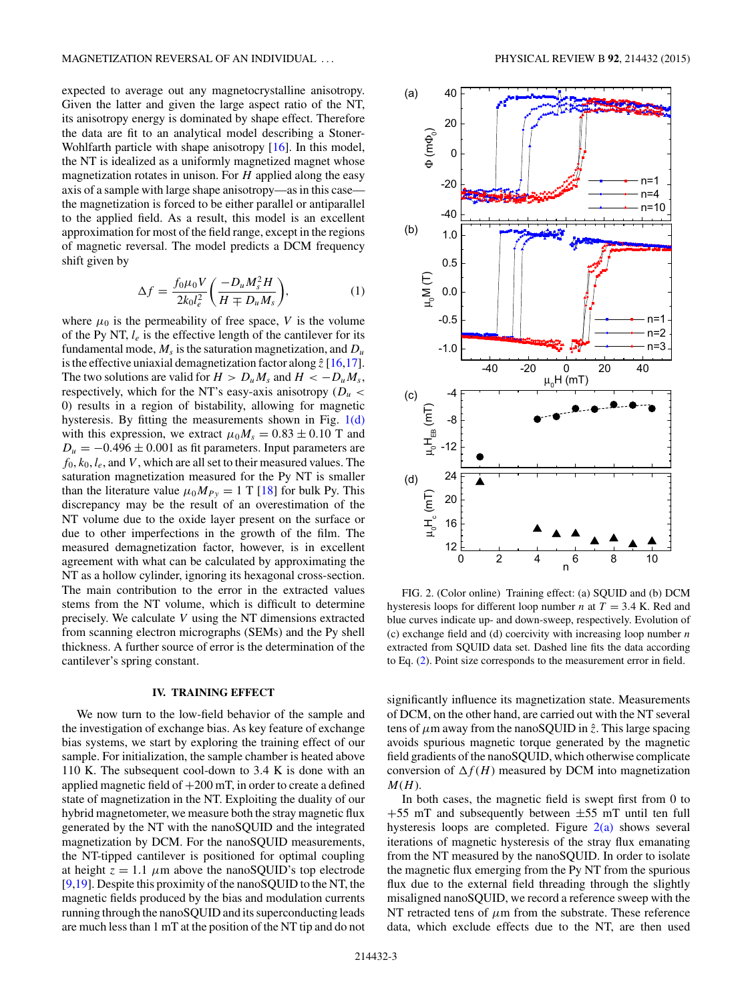<span id="page-2-0"></span>expected to average out any magnetocrystalline anisotropy. Given the latter and given the large aspect ratio of the NT, its anisotropy energy is dominated by shape effect. Therefore the data are fit to an analytical model describing a Stoner-Wohlfarth particle with shape anisotropy [\[16\]](#page-6-0). In this model, the NT is idealized as a uniformly magnetized magnet whose magnetization rotates in unison. For *H* applied along the easy axis of a sample with large shape anisotropy—as in this case the magnetization is forced to be either parallel or antiparallel to the applied field. As a result, this model is an excellent approximation for most of the field range, except in the regions of magnetic reversal. The model predicts a DCM frequency shift given by

$$
\Delta f = \frac{f_0 \mu_0 V}{2k_0 l_e^2} \left( \frac{-D_u M_s^2 H}{H \mp D_u M_s} \right),\tag{1}
$$

where  $\mu_0$  is the permeability of free space, *V* is the volume of the Py NT, *le* is the effective length of the cantilever for its fundamental mode,  $M_s$  is the saturation magnetization, and  $D_u$ is the effective uniaxial demagnetization factor along  $\hat{z}$  [\[16,17\]](#page-6-0). The two solutions are valid for  $H > D_u M_s$  and  $H < -D_u M_s$ , respectively, which for the NT's easy-axis anisotropy (*Du <* 0) results in a region of bistability, allowing for magnetic hysteresis. By fitting the measurements shown in Fig.  $1(d)$ with this expression, we extract  $\mu_0 M_s = 0.83 \pm 0.10$  T and  $D_u = -0.496 \pm 0.001$  as fit parameters. Input parameters are  $f_0, k_0, l_e$ , and *V*, which are all set to their measured values. The saturation magnetization measured for the Py NT is smaller than the literature value  $\mu_0 M_{Py} = 1$  T [\[18\]](#page-6-0) for bulk Py. This discrepancy may be the result of an overestimation of the NT volume due to the oxide layer present on the surface or due to other imperfections in the growth of the film. The measured demagnetization factor, however, is in excellent agreement with what can be calculated by approximating the NT as a hollow cylinder, ignoring its hexagonal cross-section. The main contribution to the error in the extracted values stems from the NT volume, which is difficult to determine precisely. We calculate *V* using the NT dimensions extracted from scanning electron micrographs (SEMs) and the Py shell thickness. A further source of error is the determination of the cantilever's spring constant.

#### **IV. TRAINING EFFECT**

We now turn to the low-field behavior of the sample and the investigation of exchange bias. As key feature of exchange bias systems, we start by exploring the training effect of our sample. For initialization, the sample chamber is heated above 110 K. The subsequent cool-down to 3*.*4 K is done with an applied magnetic field of  $+200$  mT, in order to create a defined state of magnetization in the NT. Exploiting the duality of our hybrid magnetometer, we measure both the stray magnetic flux generated by the NT with the nanoSQUID and the integrated magnetization by DCM. For the nanoSQUID measurements, the NT-tipped cantilever is positioned for optimal coupling at height  $z = 1.1 \mu m$  above the nanoSQUID's top electrode [\[9,19\]](#page-6-0). Despite this proximity of the nanoSQUID to the NT, the magnetic fields produced by the bias and modulation currents running through the nanoSQUID and its superconducting leads are much less than 1 mT at the position of the NT tip and do not



FIG. 2. (Color online) Training effect: (a) SQUID and (b) DCM hysteresis loops for different loop number *n* at  $T = 3.4$  K. Red and blue curves indicate up- and down-sweep, respectively. Evolution of (c) exchange field and (d) coercivity with increasing loop number *n* extracted from SQUID data set. Dashed line fits the data according to Eq. [\(2\)](#page-3-0). Point size corresponds to the measurement error in field.

significantly influence its magnetization state. Measurements of DCM, on the other hand, are carried out with the NT several tens of  $\mu$ m away from the nanoSQUID in  $\hat{z}$ . This large spacing avoids spurious magnetic torque generated by the magnetic field gradients of the nanoSQUID, which otherwise complicate conversion of  $\Delta f(H)$  measured by DCM into magnetization *M*(*H*).

In both cases, the magnetic field is swept first from 0 to  $+55$  mT and subsequently between  $\pm 55$  mT until ten full hysteresis loops are completed. Figure  $2(a)$  shows several iterations of magnetic hysteresis of the stray flux emanating from the NT measured by the nanoSQUID. In order to isolate the magnetic flux emerging from the Py NT from the spurious flux due to the external field threading through the slightly misaligned nanoSQUID, we record a reference sweep with the NT retracted tens of *μ*m from the substrate. These reference data, which exclude effects due to the NT, are then used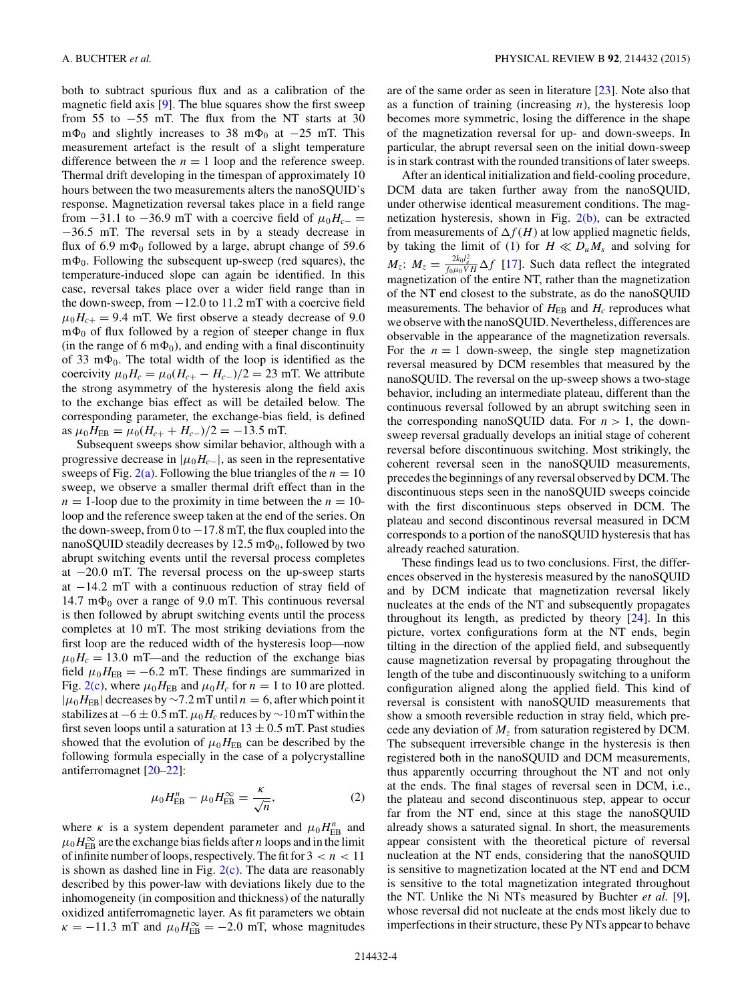<span id="page-3-0"></span>both to subtract spurious flux and as a calibration of the magnetic field axis [\[9\]](#page-6-0). The blue squares show the first sweep from 55 to −55 mT. The flux from the NT starts at 30 m $\Phi_0$  and slightly increases to 38 m $\Phi_0$  at  $-25$  mT. This measurement artefact is the result of a slight temperature difference between the  $n = 1$  loop and the reference sweep. Thermal drift developing in the timespan of approximately 10 hours between the two measurements alters the nanoSQUID's response. Magnetization reversal takes place in a field range from  $-31.1$  to  $-36.9$  mT with a coercive field of  $\mu_0 H_{c-}$  = −36*.*5 mT. The reversal sets in by a steady decrease in flux of 6.9 m $\Phi_0$  followed by a large, abrupt change of 59.6  $m\Phi_0$ . Following the subsequent up-sweep (red squares), the temperature-induced slope can again be identified. In this case, reversal takes place over a wider field range than in the down-sweep, from −12*.*0 to 11*.*2 mT with a coercive field  $\mu_0 H_{c+} = 9.4$  mT. We first observe a steady decrease of 9.0  $m\Phi_0$  of flux followed by a region of steeper change in flux (in the range of 6 m $\Phi_0$ ), and ending with a final discontinuity of 33 m $\Phi_0$ . The total width of the loop is identified as the coercivity  $\mu_0 H_c = \mu_0 (H_{c+} - H_{c-})/2 = 23$  mT. We attribute the strong asymmetry of the hysteresis along the field axis to the exchange bias effect as will be detailed below. The corresponding parameter, the exchange-bias field, is defined as  $\mu_0 H_{\text{EB}} = \mu_0 (H_{c+} + H_{c-})/2 = -13.5 \text{ mT}.$ 

Subsequent sweeps show similar behavior, although with a progressive decrease in  $|\mu_0 H_{c-}|$ , as seen in the representative sweeps of Fig.  $2(a)$ . Following the blue triangles of the  $n = 10$ sweep, we observe a smaller thermal drift effect than in the  $n = 1$ -loop due to the proximity in time between the  $n = 10$ loop and the reference sweep taken at the end of the series. On the down-sweep, from 0 to  $-17.8$  mT, the flux coupled into the nanoSQUID steadily decreases by  $12.5 \text{ m}\Phi_0$ , followed by two abrupt switching events until the reversal process completes at −20*.*0 mT. The reversal process on the up-sweep starts at −14*.*2 mT with a continuous reduction of stray field of 14.7  $m\Phi_0$  over a range of 9.0 mT. This continuous reversal is then followed by abrupt switching events until the process completes at 10 mT. The most striking deviations from the first loop are the reduced width of the hysteresis loop—now  $\mu_0 H_c = 13.0$  mT—and the reduction of the exchange bias field  $\mu_0 H_{\text{EB}} = -6.2$  mT. These findings are summarized in Fig. [2\(c\),](#page-2-0) where  $\mu_0 H_{\text{EB}}$  and  $\mu_0 H_c$  for  $n = 1$  to 10 are plotted.  $|\mu_0 H_{\text{EB}}|$  decreases by ~7.2 mT until  $n = 6$ , after which point it stabilizes at  $-6 \pm 0.5$  mT.  $\mu_0 H_c$  reduces by  $\sim 10$  mT within the first seven loops until a saturation at  $13 \pm 0.5$  mT. Past studies showed that the evolution of  $\mu_0 H_{\text{EB}}$  can be described by the following formula especially in the case of a polycrystalline antiferromagnet [\[20–22\]](#page-6-0):

$$
\mu_0 H_{\rm EB}^n - \mu_0 H_{\rm EB}^\infty = \frac{\kappa}{\sqrt{n}},\tag{2}
$$

where *κ* is a system dependent parameter and  $\mu_0 H_{\text{EB}}^n$  and  $\mu_0 H_{\text{EB}}^{\infty}$  are the exchange bias fields after *n* loops and in the limit of infinite number of loops, respectively. The fit for  $3 < n < 11$ is shown as dashed line in Fig.  $2(c)$ . The data are reasonably described by this power-law with deviations likely due to the inhomogeneity (in composition and thickness) of the naturally oxidized antiferromagnetic layer. As fit parameters we obtain  $\kappa = -11.3$  mT and  $\mu_0 H_{\text{EB}}^{\infty} = -2.0$  mT, whose magnitudes

are of the same order as seen in literature [\[23\]](#page-6-0). Note also that as a function of training (increasing *n*), the hysteresis loop becomes more symmetric, losing the difference in the shape of the magnetization reversal for up- and down-sweeps. In particular, the abrupt reversal seen on the initial down-sweep is in stark contrast with the rounded transitions of later sweeps.

After an identical initialization and field-cooling procedure, DCM data are taken further away from the nanoSQUID, under otherwise identical measurement conditions. The magnetization hysteresis, shown in Fig. [2\(b\),](#page-2-0) can be extracted from measurements of  $\Delta f(H)$  at low applied magnetic fields, by taking the limit of [\(1\)](#page-2-0) for  $H \ll D_u M_s$  and solving for  $M_z$ :  $M_z = \frac{2k_0 l_e^2}{f_0 \mu_0 V H} \Delta f$  [\[17\]](#page-6-0). Such data reflect the integrated magnetization of the entire NT, rather than the magnetization of the NT end closest to the substrate, as do the nanoSQUID measurements. The behavior of  $H_{EB}$  and  $H_c$  reproduces what we observe with the nanoSQUID. Nevertheless, differences are observable in the appearance of the magnetization reversals. For the  $n = 1$  down-sweep, the single step magnetization reversal measured by DCM resembles that measured by the nanoSQUID. The reversal on the up-sweep shows a two-stage behavior, including an intermediate plateau, different than the continuous reversal followed by an abrupt switching seen in the corresponding nanoSQUID data. For  $n > 1$ , the downsweep reversal gradually develops an initial stage of coherent reversal before discontinuous switching. Most strikingly, the coherent reversal seen in the nanoSQUID measurements, precedes the beginnings of any reversal observed by DCM. The discontinuous steps seen in the nanoSQUID sweeps coincide with the first discontinuous steps observed in DCM. The plateau and second discontinous reversal measured in DCM corresponds to a portion of the nanoSQUID hysteresis that has already reached saturation.

These findings lead us to two conclusions. First, the differences observed in the hysteresis measured by the nanoSQUID and by DCM indicate that magnetization reversal likely nucleates at the ends of the NT and subsequently propagates throughout its length, as predicted by theory [\[24\]](#page-6-0). In this picture, vortex configurations form at the NT ends, begin tilting in the direction of the applied field, and subsequently cause magnetization reversal by propagating throughout the length of the tube and discontinuously switching to a uniform configuration aligned along the applied field. This kind of reversal is consistent with nanoSQUID measurements that show a smooth reversible reduction in stray field, which precede any deviation of *Mz* from saturation registered by DCM. The subsequent irreversible change in the hysteresis is then registered both in the nanoSQUID and DCM measurements, thus apparently occurring throughout the NT and not only at the ends. The final stages of reversal seen in DCM, i.e., the plateau and second discontinuous step, appear to occur far from the NT end, since at this stage the nanoSQUID already shows a saturated signal. In short, the measurements appear consistent with the theoretical picture of reversal nucleation at the NT ends, considering that the nanoSQUID is sensitive to magnetization located at the NT end and DCM is sensitive to the total magnetization integrated throughout the NT. Unlike the Ni NTs measured by Buchter *et al.* [\[9\]](#page-6-0), whose reversal did not nucleate at the ends most likely due to imperfections in their structure, these Py NTs appear to behave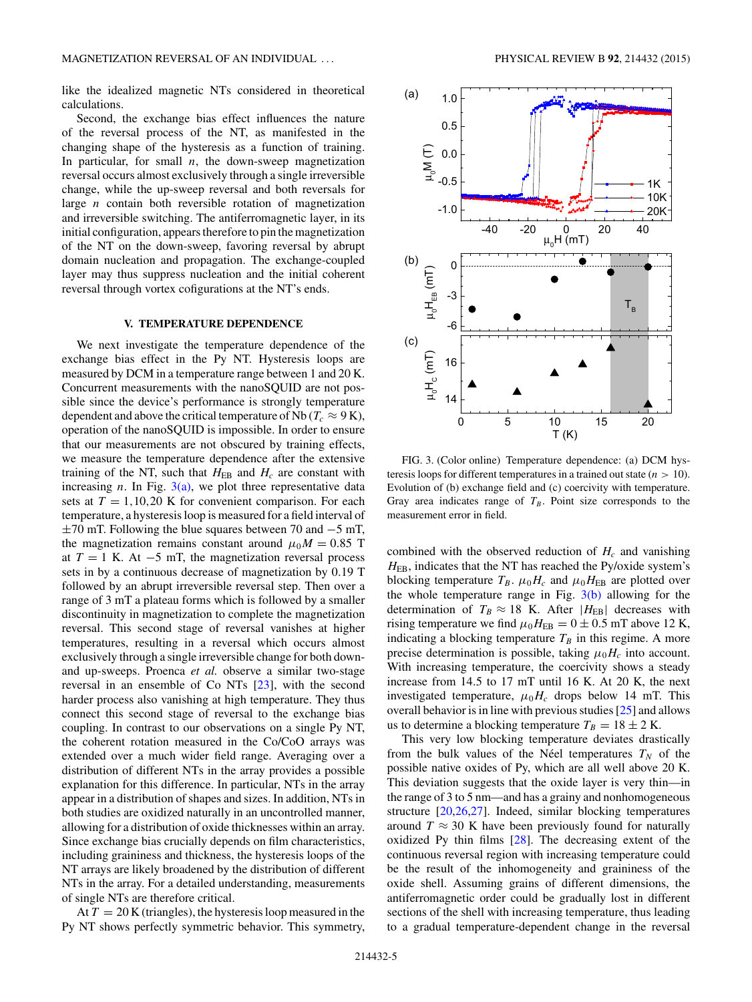like the idealized magnetic NTs considered in theoretical calculations.

Second, the exchange bias effect influences the nature of the reversal process of the NT, as manifested in the changing shape of the hysteresis as a function of training. In particular, for small  $n$ , the down-sweep magnetization reversal occurs almost exclusively through a single irreversible change, while the up-sweep reversal and both reversals for large *n* contain both reversible rotation of magnetization and irreversible switching. The antiferromagnetic layer, in its initial configuration, appears therefore to pin the magnetization of the NT on the down-sweep, favoring reversal by abrupt domain nucleation and propagation. The exchange-coupled layer may thus suppress nucleation and the initial coherent reversal through vortex cofigurations at the NT's ends.

## **V. TEMPERATURE DEPENDENCE**

We next investigate the temperature dependence of the exchange bias effect in the Py NT. Hysteresis loops are measured by DCM in a temperature range between 1 and 20 K. Concurrent measurements with the nanoSQUID are not possible since the device's performance is strongly temperature dependent and above the critical temperature of Nb ( $T_c \approx 9$  K), operation of the nanoSQUID is impossible. In order to ensure that our measurements are not obscured by training effects, we measure the temperature dependence after the extensive training of the NT, such that  $H_{EB}$  and  $H_c$  are constant with increasing  $n$ . In Fig.  $3(a)$ , we plot three representative data sets at  $T = 1,10,20$  K for convenient comparison. For each temperature, a hysteresis loop is measured for a field interval of  $\pm$ 70 mT. Following the blue squares between 70 and  $-5$  mT, the magnetization remains constant around  $\mu_0 M = 0.85$  T at  $T = 1$  K. At  $-5$  mT, the magnetization reversal process sets in by a continuous decrease of magnetization by 0*.*19 T followed by an abrupt irreversible reversal step. Then over a range of 3 mT a plateau forms which is followed by a smaller discontinuity in magnetization to complete the magnetization reversal. This second stage of reversal vanishes at higher temperatures, resulting in a reversal which occurs almost exclusively through a single irreversible change for both downand up-sweeps. Proenca *et al.* observe a similar two-stage reversal in an ensemble of Co NTs [\[23\]](#page-6-0), with the second harder process also vanishing at high temperature. They thus connect this second stage of reversal to the exchange bias coupling. In contrast to our observations on a single Py NT, the coherent rotation measured in the Co/CoO arrays was extended over a much wider field range. Averaging over a distribution of different NTs in the array provides a possible explanation for this difference. In particular, NTs in the array appear in a distribution of shapes and sizes. In addition, NTs in both studies are oxidized naturally in an uncontrolled manner, allowing for a distribution of oxide thicknesses within an array. Since exchange bias crucially depends on film characteristics, including graininess and thickness, the hysteresis loops of the NT arrays are likely broadened by the distribution of different NTs in the array. For a detailed understanding, measurements of single NTs are therefore critical.

At  $T = 20$  K (triangles), the hysteresis loop measured in the Py NT shows perfectly symmetric behavior. This symmetry,



FIG. 3. (Color online) Temperature dependence: (a) DCM hysteresis loops for different temperatures in a trained out state (*n >* 10). Evolution of (b) exchange field and (c) coercivity with temperature. Gray area indicates range of  $T_B$ . Point size corresponds to the measurement error in field.

combined with the observed reduction of  $H_c$  and vanishing H<sub>EB</sub>, indicates that the NT has reached the Py/oxide system's blocking temperature  $T_B$ .  $\mu_0 H_c$  and  $\mu_0 H_{EB}$  are plotted over the whole temperature range in Fig.  $3(b)$  allowing for the determination of  $T_B \approx 18$  K. After  $|H_{EB}|$  decreases with rising temperature we find  $\mu_0 H_{\text{EB}} = 0 \pm 0.5$  mT above 12 K, indicating a blocking temperature  $T_B$  in this regime. A more precise determination is possible, taking  $\mu_0 H_c$  into account. With increasing temperature, the coercivity shows a steady increase from 14*.*5 to 17 mT until 16 K. At 20 K, the next investigated temperature,  $\mu_0 H_c$  drops below 14 mT. This overall behavior is in line with previous studies [\[25\]](#page-6-0) and allows us to determine a blocking temperature  $T_B = 18 \pm 2$  K.

This very low blocking temperature deviates drastically from the bulk values of the Néel temperatures  $T_N$  of the possible native oxides of Py, which are all well above 20 K. This deviation suggests that the oxide layer is very thin—in the range of 3 to 5 nm—and has a grainy and nonhomogeneous structure [\[20,26,27\]](#page-6-0). Indeed, similar blocking temperatures around  $T \approx 30$  K have been previously found for naturally oxidized Py thin films [\[28\]](#page-6-0). The decreasing extent of the continuous reversal region with increasing temperature could be the result of the inhomogeneity and graininess of the oxide shell. Assuming grains of different dimensions, the antiferromagnetic order could be gradually lost in different sections of the shell with increasing temperature, thus leading to a gradual temperature-dependent change in the reversal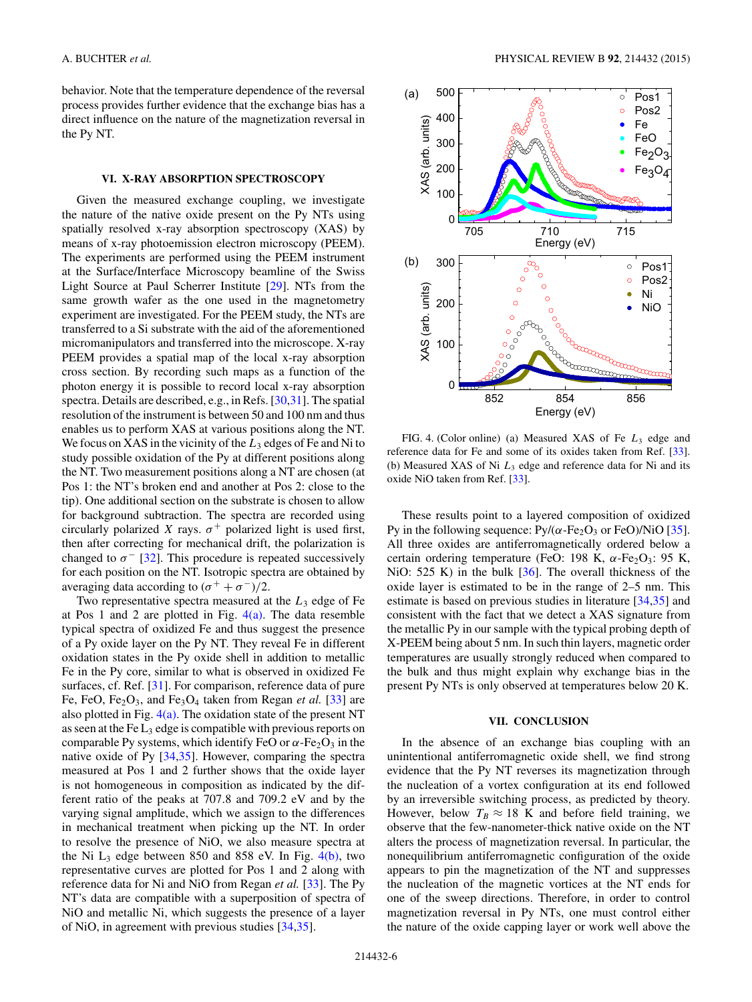behavior. Note that the temperature dependence of the reversal process provides further evidence that the exchange bias has a direct influence on the nature of the magnetization reversal in the Py NT.

#### **VI. X-RAY ABSORPTION SPECTROSCOPY**

Given the measured exchange coupling, we investigate the nature of the native oxide present on the Py NTs using spatially resolved x-ray absorption spectroscopy (XAS) by means of x-ray photoemission electron microscopy (PEEM). The experiments are performed using the PEEM instrument at the Surface/Interface Microscopy beamline of the Swiss Light Source at Paul Scherrer Institute [\[29\]](#page-6-0). NTs from the same growth wafer as the one used in the magnetometry experiment are investigated. For the PEEM study, the NTs are transferred to a Si substrate with the aid of the aforementioned micromanipulators and transferred into the microscope. X-ray PEEM provides a spatial map of the local x-ray absorption cross section. By recording such maps as a function of the photon energy it is possible to record local x-ray absorption spectra. Details are described, e.g., in Refs. [\[30,31\]](#page-6-0). The spatial resolution of the instrument is between 50 and 100 nm and thus enables us to perform XAS at various positions along the NT. We focus on XAS in the vicinity of the  $L_3$  edges of Fe and Ni to study possible oxidation of the Py at different positions along the NT. Two measurement positions along a NT are chosen (at Pos 1: the NT's broken end and another at Pos 2: close to the tip). One additional section on the substrate is chosen to allow for background subtraction. The spectra are recorded using circularly polarized *X* rays.  $\sigma^+$  polarized light is used first, then after correcting for mechanical drift, the polarization is changed to  $\sigma$ <sup>-</sup> [\[32\]](#page-6-0). This procedure is repeated successively for each position on the NT. Isotropic spectra are obtained by averaging data according to  $({\sigma}^+ + {\sigma}^-)/2$ .

Two representative spectra measured at the *L*<sup>3</sup> edge of Fe at Pos 1 and 2 are plotted in Fig.  $4(a)$ . The data resemble typical spectra of oxidized Fe and thus suggest the presence of a Py oxide layer on the Py NT. They reveal Fe in different oxidation states in the Py oxide shell in addition to metallic Fe in the Py core, similar to what is observed in oxidized Fe surfaces, cf. Ref. [\[31\]](#page-6-0). For comparison, reference data of pure Fe, FeO, Fe<sub>2</sub>O<sub>3</sub>, and Fe<sub>3</sub>O<sub>4</sub> taken from Regan *et al.* [\[33\]](#page-6-0) are also plotted in Fig.  $4(a)$ . The oxidation state of the present NT as seen at the Fe  $L_3$  edge is compatible with previous reports on comparable Py systems, which identify FeO or  $\alpha$ -Fe<sub>2</sub>O<sub>3</sub> in the native oxide of Py [\[34,35\]](#page-6-0). However, comparing the spectra measured at Pos 1 and 2 further shows that the oxide layer is not homogeneous in composition as indicated by the different ratio of the peaks at 707*.*8 and 709*.*2 eV and by the varying signal amplitude, which we assign to the differences in mechanical treatment when picking up the NT. In order to resolve the presence of NiO, we also measure spectra at the Ni  $L_3$  edge between 850 and 858 eV. In Fig.  $4(b)$ , two representative curves are plotted for Pos 1 and 2 along with reference data for Ni and NiO from Regan *et al.* [\[33\]](#page-6-0). The Py NT's data are compatible with a superposition of spectra of NiO and metallic Ni, which suggests the presence of a layer of NiO, in agreement with previous studies [\[34,35\]](#page-6-0).



FIG. 4. (Color online) (a) Measured XAS of Fe *L*<sup>3</sup> edge and reference data for Fe and some of its oxides taken from Ref. [\[33\]](#page-6-0). (b) Measured XAS of Ni *L*<sup>3</sup> edge and reference data for Ni and its oxide NiO taken from Ref. [\[33\]](#page-6-0).

These results point to a layered composition of oxidized Py in the following sequence:  $Py/(\alpha$ -Fe<sub>2</sub>O<sub>3</sub> or FeO)/NiO [\[35\]](#page-6-0). All three oxides are antiferromagnetically ordered below a certain ordering temperature (FeO: 198 K, α-Fe<sub>2</sub>O<sub>3</sub>: 95 K, NiO: 525 K) in the bulk [\[36\]](#page-6-0). The overall thickness of the oxide layer is estimated to be in the range of 2–5 nm. This estimate is based on previous studies in literature [\[34,35\]](#page-6-0) and consistent with the fact that we detect a XAS signature from the metallic Py in our sample with the typical probing depth of X-PEEM being about 5 nm. In such thin layers, magnetic order temperatures are usually strongly reduced when compared to the bulk and thus might explain why exchange bias in the present Py NTs is only observed at temperatures below 20 K.

#### **VII. CONCLUSION**

In the absence of an exchange bias coupling with an unintentional antiferromagnetic oxide shell, we find strong evidence that the Py NT reverses its magnetization through the nucleation of a vortex configuration at its end followed by an irreversible switching process, as predicted by theory. However, below  $T_B \approx 18$  K and before field training, we observe that the few-nanometer-thick native oxide on the NT alters the process of magnetization reversal. In particular, the nonequilibrium antiferromagnetic configuration of the oxide appears to pin the magnetization of the NT and suppresses the nucleation of the magnetic vortices at the NT ends for one of the sweep directions. Therefore, in order to control magnetization reversal in Py NTs, one must control either the nature of the oxide capping layer or work well above the